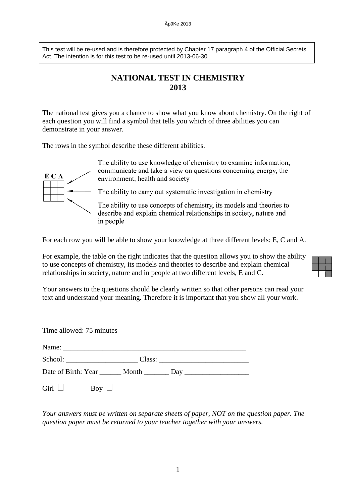This test will be re-used and is therefore protected by Chapter 17 paragraph 4 of the Official Secrets Act. The intention is for this test to be re-used until 2013-06-30.

## **NATIONAL TEST IN CHEMISTRY 2013**

The national test gives you a chance to show what you know about chemistry. On the right of each question you will find a symbol that tells you which of three abilities you can demonstrate in your answer.

The rows in the symbol describe these different abilities.



The ability to use knowledge of chemistry to examine information, communicate and take a view on questions concerning energy, the environment, health and society

The ability to carry out systematic investigation in chemistry

The ability to use concepts of chemistry, its models and theories to describe and explain chemical relationships in society, nature and in people

For each row you will be able to show your knowledge at three different levels: E, C and A.

For example, the table on the right indicates that the question allows you to show the ability to use concepts of chemistry, its models and theories to describe and explain chemical relationships in society, nature and in people at two different levels, E and C.

Your answers to the questions should be clearly written so that other persons can read your text and understand your meaning. Therefore it is important that you show all your work.

| Time allowed: 75 minutes |  |
|--------------------------|--|
|                          |  |
|                          |  |
|                          |  |
| Girl $\Box$ Boy $\Box$   |  |

*Your answers must be written on separate sheets of paper, NOT on the question paper. The question paper must be returned to your teacher together with your answers.*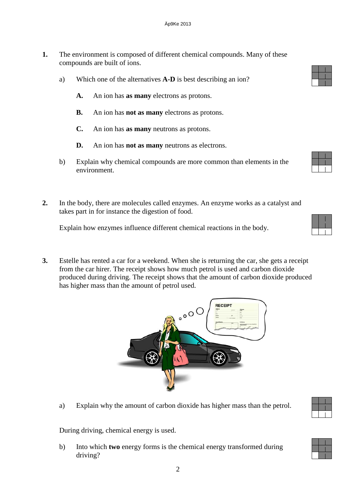- **1.** The environment is composed of different chemical compounds. Many of these compounds are built of ions.
	- a) Which one of the alternatives **A-D** is best describing an ion?
		- **A.** An ion has **as many** electrons as protons.
		- **B.** An ion has **not as many** electrons as protons.
		- **C.** An ion has **as many** neutrons as protons.
		- **D.** An ion has **not as many** neutrons as electrons.
	- b) Explain why chemical compounds are more common than elements in the environment.
- **2.** In the body, there are molecules called enzymes. An enzyme works as a catalyst and takes part in for instance the digestion of food.

Explain how enzymes influence different chemical reactions in the body.

**3.** Estelle has rented a car for a weekend. When she is returning the car, she gets a receipt from the car hirer. The receipt shows how much petrol is used and carbon dioxide produced during driving. The receipt shows that the amount of carbon dioxide produced has higher mass than the amount of petrol used.

 $\circ$ 

RECEI



During driving, chemical energy is used.

b) Into which **two** energy forms is the chemical energy transformed during driving?

2



| ď |  |  |  |
|---|--|--|--|



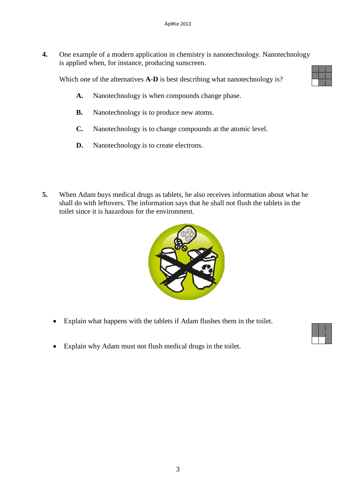**4.** One example of a modern application in chemistry is nanotechnology. Nanotechnology is applied when, for instance, producing sunscreen.

Which one of the alternatives **A-D** is best describing what nanotechnology is?



- **A.** Nanotechnology is when compounds change phase.
- **B.** Nanotechnology is to produce new atoms.
- **C.** Nanotechnology is to change compounds at the atomic level.
- **D.** Nanotechnology is to create electrons.
- **5.** When Adam buys medical drugs as tablets, he also receives information about what he shall do with leftovers. The information says that he shall not flush the tablets in the toilet since it is hazardous for the environment.



- Explain what happens with the tablets if Adam flushes them in the toilet.
- Explain why Adam must not flush medical drugs in the toilet.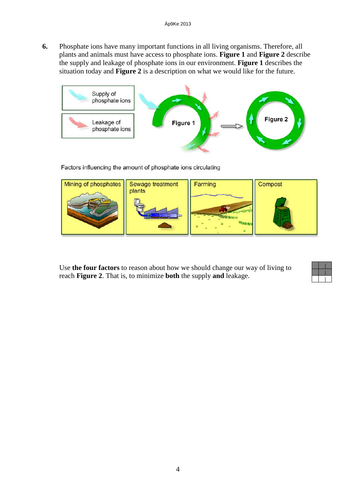**6.** Phosphate ions have many important functions in all living organisms. Therefore, all plants and animals must have access to phosphate ions. **Figure 1** and **Figure 2** describe the supply and leakage of phosphate ions in our environment. **Figure 1** describes the situation today and **Figure 2** is a description on what we would like for the future.



Factors influencing the amount of phosphate ions circulating



Use **the four factors** to reason about how we should change our way of living to reach **Figure 2**. That is, to minimize **both** the supply **and** leakage.